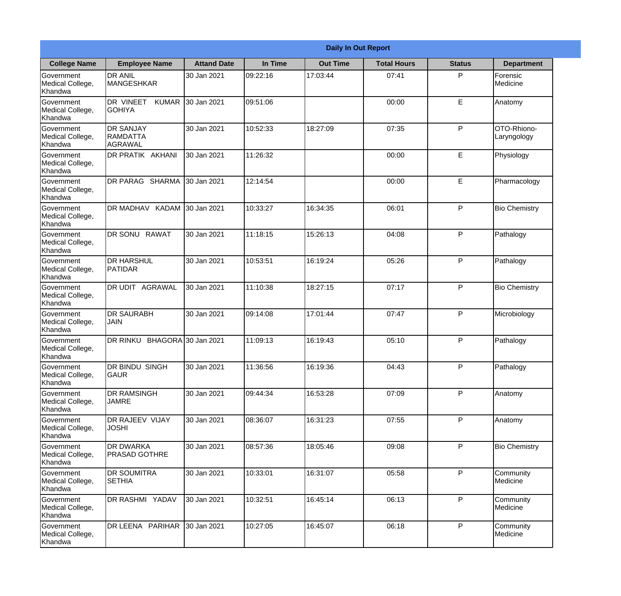|                                                  |                                                |                     |          | <b>Daily In Out Report</b> |                    |               |                            |
|--------------------------------------------------|------------------------------------------------|---------------------|----------|----------------------------|--------------------|---------------|----------------------------|
| <b>College Name</b>                              | <b>Employee Name</b>                           | <b>Attand Date</b>  | In Time  | <b>Out Time</b>            | <b>Total Hours</b> | <b>Status</b> | <b>Department</b>          |
| Government<br>Medical College,<br>Khandwa        | <b>DR ANIL</b><br><b>MANGESHKAR</b>            | 30 Jan 2021         | 09:22:16 | 17:03:44                   | 07:41              | P             | Forensic<br>Medicine       |
| Government<br>Medical College,<br>Khandwa        | DR VINEET<br><b>KUMAR</b><br><b>GOHIYA</b>     | 30 Jan 2021         | 09:51:06 |                            | 00:00              | E             | Anatomy                    |
| <b>Government</b><br>Medical College,<br>Khandwa | <b>DR SANJAY</b><br><b>RAMDATTA</b><br>AGRAWAL | 30 Jan 2021         | 10:52:33 | 18:27:09                   | 07:35              | P             | OTO-Rhiono-<br>Laryngology |
| <b>Government</b><br>Medical College,<br>Khandwa | <b>DR PRATIK AKHANI</b>                        | 30 Jan 2021         | 11:26:32 |                            | 00:00              | E             | Physiology                 |
| Government<br>Medical College,<br>Khandwa        | <b>DR PARAG SHARMA</b>                         | 30 Jan 2021         | 12:14:54 |                            | 00:00              | E             | Pharmacology               |
| Government<br>Medical College,<br>Khandwa        | DR MADHAV KADAM 30 Jan 2021                    |                     | 10:33:27 | 16:34:35                   | 06:01              | P             | <b>Bio Chemistry</b>       |
| <b>Government</b><br>Medical College,<br>Khandwa | DR SONU RAWAT                                  | 30 Jan 2021         | 11:18:15 | 15:26:13                   | 04:08              | P             | Pathalogy                  |
| <b>Government</b><br>Medical College,<br>Khandwa | <b>DR HARSHUL</b><br>PATIDAR                   | 30 Jan 2021         | 10:53:51 | 16:19:24                   | 05:26              | P             | Pathalogy                  |
| Government<br>Medical College,<br>Khandwa        | DR UDIT<br>AGRAWAL                             | 30 Jan 2021         | 11:10:38 | 18:27:15                   | 07:17              | P             | <b>Bio Chemistry</b>       |
| Government<br>Medical College,<br>Khandwa        | <b>DR SAURABH</b><br><b>JAIN</b>               | 30 Jan 2021         | 09:14:08 | 17:01:44                   | 07:47              | P             | Microbiology               |
| Government<br>Medical College,<br>Khandwa        | DR RINKU                                       | BHAGORA 30 Jan 2021 | 11:09:13 | 16:19:43                   | 05:10              | P             | Pathalogy                  |
| Government<br>Medical College,<br>Khandwa        | <b>DR BINDU SINGH</b><br><b>GAUR</b>           | 30 Jan 2021         | 11:36:56 | 16:19:36                   | 04:43              | P             | Pathalogy                  |
| Government<br>Medical College,<br>Khandwa        | <b>DR RAMSINGH</b><br><b>JAMRE</b>             | 30 Jan 2021         | 09:44:34 | 16:53:28                   | 07:09              | P             | Anatomy                    |
| Government<br>Medical College,<br>Khandwa        | <b>DR RAJEEV VIJAY</b><br><b>JOSHI</b>         | 30 Jan 2021         | 08:36:07 | 16:31:23                   | 07:55              | P             | Anatomy                    |
| Government<br>Medical College,<br>Khandwa        | DR DWARKA<br><b>PRASAD GOTHRE</b>              | 30 Jan 2021         | 08:57:36 | 18:05:46                   | 09:08              | $\mathsf{P}$  | <b>Bio Chemistry</b>       |
| Government<br>Medical College,<br>Khandwa        | <b>DR SOUMITRA</b><br><b>SETHIA</b>            | 30 Jan 2021         | 10:33:01 | 16:31:07                   | 05:58              | P             | Community<br>Medicine      |
| Government<br>Medical College,<br>Khandwa        | DR RASHMI YADAV                                | 30 Jan 2021         | 10:32:51 | 16:45:14                   | 06:13              | P             | Community<br>Medicine      |
| Government<br>Medical College,<br>Khandwa        | DR LEENA PARIHAR                               | 30 Jan 2021         | 10:27:05 | 16:45:07                   | 06:18              | P             | Community<br>Medicine      |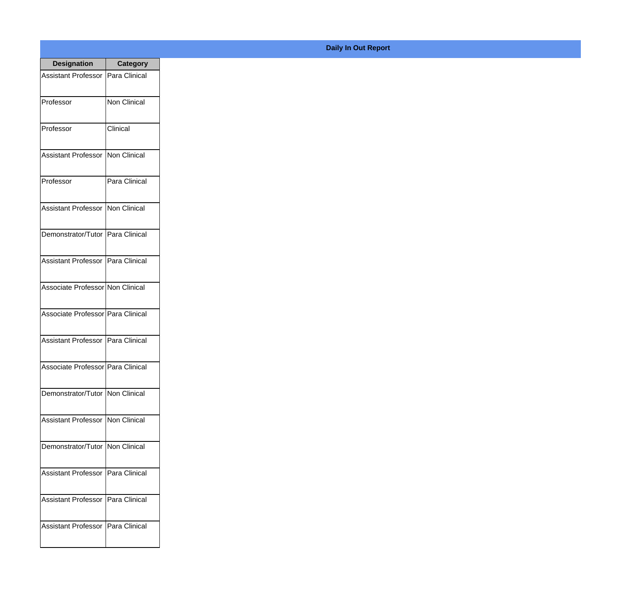| <b>Designation</b>                  | <b>Category</b>     |
|-------------------------------------|---------------------|
| Assistant Professor   Para Clinical |                     |
| Professor                           | <b>Non Clinical</b> |
| Professor                           | Clinical            |
| Assistant Professor                 | Non Clinical        |
| Professor                           | Para Clinical       |
| <b>Assistant Professor</b>          | Non Clinical        |
| Demonstrator/Tutor   Para Clinical  |                     |
| Assistant Professor   Para Clinical |                     |
| Associate Professor Non Clinical    |                     |
| Associate Professor   Para Clinical |                     |
| Assistant Professor   Para Clinical |                     |
| Associate Professor Para Clinical   |                     |
| Demonstrator/Tutor   Non Clinical   |                     |
| Assistant Professor Non Clinical    |                     |
| Demonstrator/Tutor   Non Clinical   |                     |
| <b>Assistant Professor</b>          | Para Clinical       |
| <b>Assistant Professor</b>          | Para Clinical       |
| Assistant Professor                 | Para Clinical       |

## **Daily In Out Report**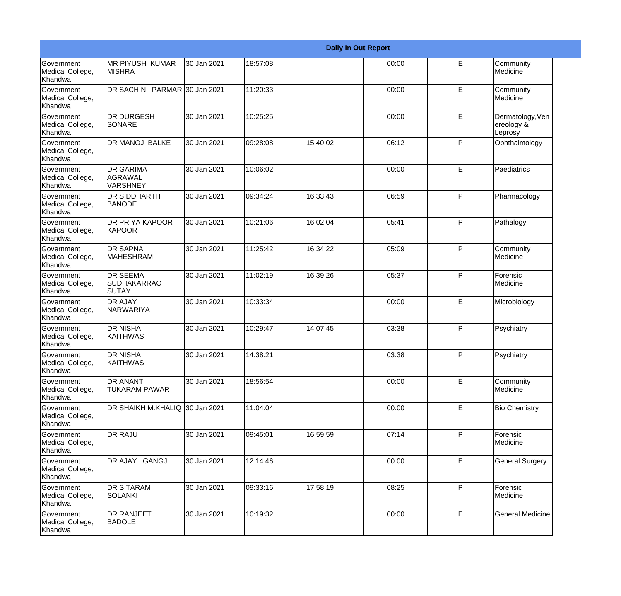|                                                         |                                                       |             |          |          | <b>Daily In Out Report</b> |              |                                           |
|---------------------------------------------------------|-------------------------------------------------------|-------------|----------|----------|----------------------------|--------------|-------------------------------------------|
| Government<br>Medical College,<br>Khandwa               | <b>MR PIYUSH KUMAR</b><br><b>MISHRA</b>               | 30 Jan 2021 | 18:57:08 |          | 00:00                      | E            | Community<br>Medicine                     |
| <b>Government</b><br>Medical College,<br>Khandwa        | DR SACHIN PARMAR 30 Jan 2021                          |             | 11:20:33 |          | 00:00                      | E            | Community<br>Medicine                     |
| <b>Government</b><br>Medical College,<br>Khandwa        | <b>DR DURGESH</b><br>SONARE                           | 30 Jan 2021 | 10:25:25 |          | 00:00                      | E            | Dermatology, Ven<br>ereology &<br>Leprosy |
| <b>Government</b><br>Medical College,<br>Khandwa        | <b>DR MANOJ BALKE</b>                                 | 30 Jan 2021 | 09:28:08 | 15:40:02 | 06:12                      | P            | Ophthalmology                             |
| Government<br>Medical College,<br>Khandwa               | <b>DR GARIMA</b><br><b>AGRAWAL</b><br><b>VARSHNEY</b> | 30 Jan 2021 | 10:06:02 |          | 00:00                      | E            | Paediatrics                               |
| <b>Government</b><br>Medical College,<br><b>Khandwa</b> | <b>DR SIDDHARTH</b><br><b>BANODE</b>                  | 30 Jan 2021 | 09:34:24 | 16:33:43 | 06:59                      | P            | Pharmacology                              |
| Government<br>Medical College,<br>Khandwa               | <b>DR PRIYA KAPOOR</b><br>KAPOOR                      | 30 Jan 2021 | 10:21:06 | 16:02:04 | 05:41                      | P            | Pathalogy                                 |
| Government<br>Medical College,<br>Khandwa               | <b>DR SAPNA</b><br><b>MAHESHRAM</b>                   | 30 Jan 2021 | 11:25:42 | 16:34:22 | 05:09                      | P            | Community<br>Medicine                     |
| Government<br>Medical College,<br>Khandwa               | <b>DR SEEMA</b><br><b>SUDHAKARRAO</b><br>SUTAY        | 30 Jan 2021 | 11:02:19 | 16:39:26 | 05:37                      | $\mathsf{P}$ | Forensic<br>Medicine                      |
| <b>Government</b><br>Medical College,<br>Khandwa        | <b>DR AJAY</b><br>NARWARIYA                           | 30 Jan 2021 | 10:33:34 |          | 00:00                      | E            | Microbiology                              |
| <b>Government</b><br>Medical College,<br>Khandwa        | <b>DR NISHA</b><br><b>KAITHWAS</b>                    | 30 Jan 2021 | 10:29:47 | 14:07:45 | 03:38                      | P            | Psychiatry                                |
| Government<br>Medical College,<br>Khandwa               | <b>DR NISHA</b><br><b>KAITHWAS</b>                    | 30 Jan 2021 | 14:38:21 |          | 03:38                      | P            | Psychiatry                                |
| <b>Government</b><br>Medical College,<br>Khandwa        | <b>DR ANANT</b><br><b>TUKARAM PAWAR</b>               | 30 Jan 2021 | 18:56:54 |          | 00:00                      | E            | Community<br>Medicine                     |
| Government<br>Medical College,<br>Khandwa               | DR SHAIKH M.KHALIQ 30 Jan 2021                        |             | 11:04:04 |          | 00:00                      | E            | <b>Bio Chemistry</b>                      |
| Government<br>Medical College,<br>Khandwa               | <b>DR RAJU</b>                                        | 30 Jan 2021 | 09:45:01 | 16:59:59 | 07:14                      | P            | Forensic<br>Medicine                      |
| Government<br>Medical College,<br>Khandwa               | DR AJAY GANGJI                                        | 30 Jan 2021 | 12:14:46 |          | 00:00                      | E.           | <b>General Surgery</b>                    |
| Government<br>Medical College,<br>Khandwa               | <b>DR SITARAM</b><br><b>SOLANKI</b>                   | 30 Jan 2021 | 09:33:16 | 17:58:19 | 08:25                      | P            | Forensic<br>Medicine                      |
| Government<br>Medical College,<br>Khandwa               | <b>DR RANJEET</b><br><b>BADOLE</b>                    | 30 Jan 2021 | 10:19:32 |          | 00:00                      | E            | <b>General Medicine</b>                   |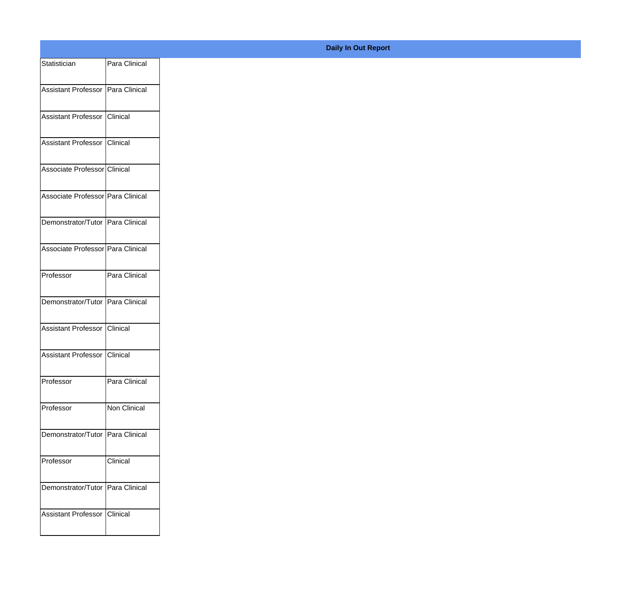| Statistician                      | Para Clinical |
|-----------------------------------|---------------|
| Assistant Professor Para Clinical |               |
| Assistant Professor Clinical      |               |
| Assistant Professor Clinical      |               |
| Associate Professor Clinical      |               |
| Associate Professor Para Clinical |               |
| Demonstrator/Tutor Para Clinical  |               |
| Associate Professor Para Clinical |               |
| Professor                         | Para Clinical |
| Demonstrator/Tutor Para Clinical  |               |
| Assistant Professor Clinical      |               |
| Assistant Professor Clinical      |               |
| Professor                         | Para Clinical |
| Professor                         | Non Clinical  |
| Demonstrator/Tutor Para Clinical  |               |
| Professor                         | Clinical      |
| Demonstrator/Tutor Para Clinical  |               |
| Assistant Professor               | Clinical      |
|                                   |               |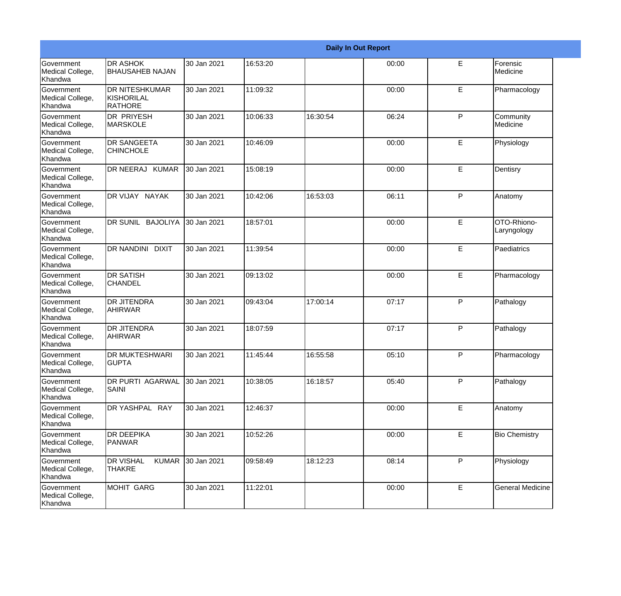|                                                  |                                                       |             |          |          | <b>Daily In Out Report</b> |    |                            |
|--------------------------------------------------|-------------------------------------------------------|-------------|----------|----------|----------------------------|----|----------------------------|
| Government<br>Medical College,<br>Khandwa        | <b>DR ASHOK</b><br><b>BHAUSAHEB NAJAN</b>             | 30 Jan 2021 | 16:53:20 |          | 00:00                      | E  | Forensic<br>Medicine       |
| Government<br>Medical College,<br>Khandwa        | <b>DR NITESHKUMAR</b><br>KISHORILAL<br><b>RATHORE</b> | 30 Jan 2021 | 11:09:32 |          | 00:00                      | E  | Pharmacology               |
| <b>Government</b><br>Medical College,<br>Khandwa | <b>DR PRIYESH</b><br><b>MARSKOLE</b>                  | 30 Jan 2021 | 10:06:33 | 16:30:54 | 06:24                      | P  | Community<br>Medicine      |
| Government<br>Medical College,<br>Khandwa        | <b>DR SANGEETA</b><br><b>CHINCHOLE</b>                | 30 Jan 2021 | 10:46:09 |          | 00:00                      | E  | Physiology                 |
| Government<br>Medical College,<br>Khandwa        | DR NEERAJ KUMAR                                       | 30 Jan 2021 | 15:08:19 |          | 00:00                      | E  | Dentisry                   |
| Government<br>Medical College,<br>Khandwa        | DR VIJAY NAYAK                                        | 30 Jan 2021 | 10:42:06 | 16:53:03 | 06:11                      | P  | Anatomy                    |
| Government<br>Medical College,<br>Khandwa        | DR SUNIL BAJOLIYA                                     | 30 Jan 2021 | 18:57:01 |          | 00:00                      | E  | OTO-Rhiono-<br>Laryngology |
| Government<br>Medical College,<br>Khandwa        | DR NANDINI DIXIT                                      | 30 Jan 2021 | 11:39:54 |          | 00:00                      | E  | Paediatrics                |
| Government<br>Medical College,<br>Khandwa        | <b>DR SATISH</b><br><b>CHANDEL</b>                    | 30 Jan 2021 | 09:13:02 |          | 00:00                      | E  | Pharmacology               |
| Government<br>Medical College,<br>Khandwa        | <b>DR JITENDRA</b><br><b>AHIRWAR</b>                  | 30 Jan 2021 | 09:43:04 | 17:00:14 | 07:17                      | P  | Pathalogy                  |
| Government<br>Medical College,<br>Khandwa        | <b>DR JITENDRA</b><br><b>AHIRWAR</b>                  | 30 Jan 2021 | 18:07:59 |          | 07:17                      | P  | Pathalogy                  |
| Government<br>Medical College,<br>Khandwa        | <b>DR MUKTESHWARI</b><br><b>GUPTA</b>                 | 30 Jan 2021 | 11:45:44 | 16:55:58 | 05:10                      | P  | Pharmacology               |
| Government<br>Medical College,<br>Khandwa        | DR PURTI AGARWAL<br><b>SAINI</b>                      | 30 Jan 2021 | 10:38:05 | 16:18:57 | 05:40                      | P  | Pathalogy                  |
| Government<br>Medical College,<br>Khandwa        | DR YASHPAL RAY                                        | 30 Jan 2021 | 12:46:37 |          | 00:00                      | E. | Anatomy                    |
| Government<br>Medical College,<br>Khandwa        | <b>DR DEEPIKA</b><br>PANWAR                           | 30 Jan 2021 | 10:52:26 |          | 00:00                      | E  | <b>Bio Chemistry</b>       |
| Government<br>Medical College,<br>Khandwa        | <b>DR VISHAL</b><br><b>KUMAR</b><br><b>THAKRE</b>     | 30 Jan 2021 | 09:58:49 | 18:12:23 | 08:14                      | P  | Physiology                 |
| Government<br>Medical College,<br>Khandwa        | MOHIT GARG                                            | 30 Jan 2021 | 11:22:01 |          | 00:00                      | E. | <b>General Medicine</b>    |